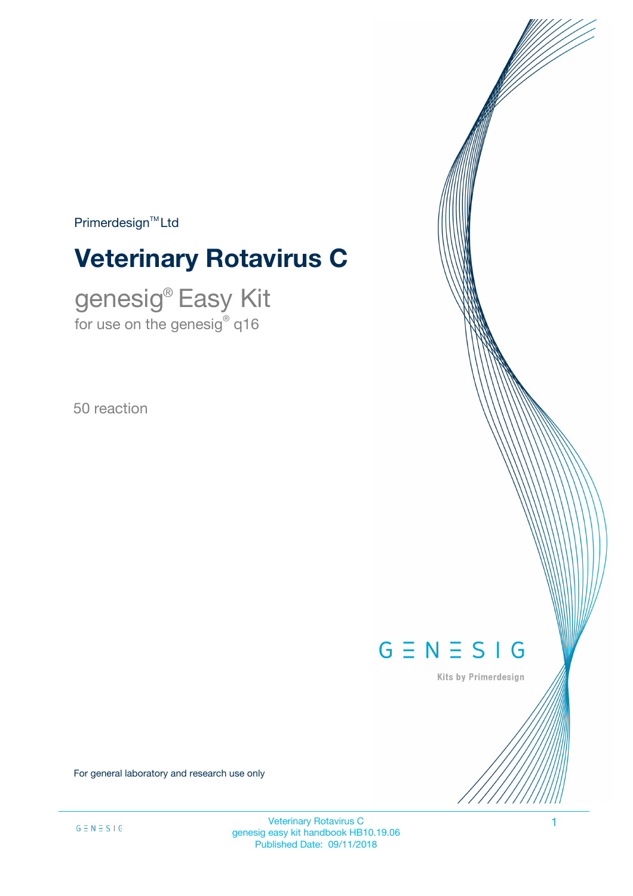$Primerdesign<sup>™</sup>Ltd$ 

# **Veterinary Rotavirus C**

genesig® Easy Kit for use on the genesig $^\circ$  q16

50 reaction



Kits by Primerdesign

For general laboratory and research use only

Veterinary Rotavirus C 1 genesig easy kit handbook HB10.19.06 Published Date: 09/11/2018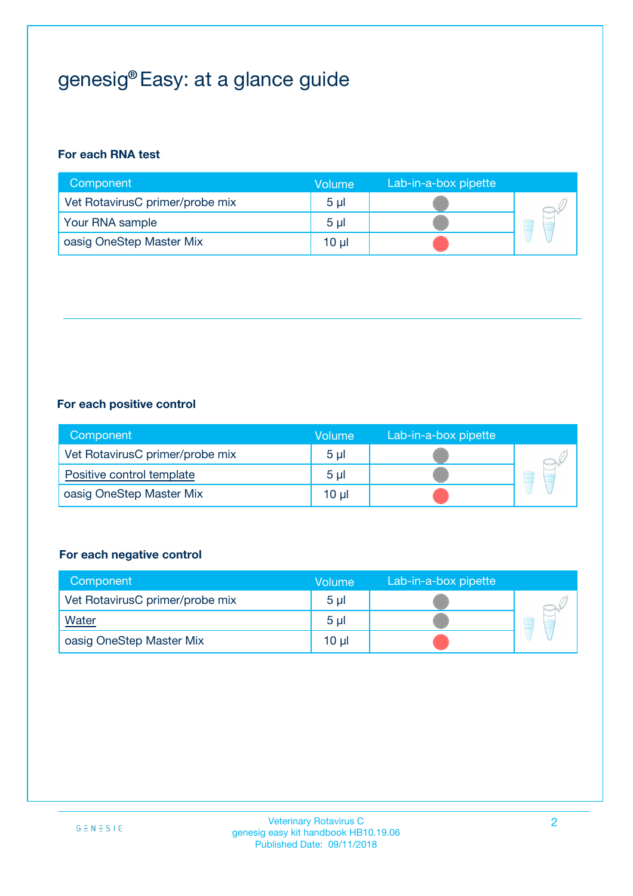## genesig® Easy: at a glance guide

#### **For each RNA test**

| Component                       | <b>Volume</b>  | Lab-in-a-box pipette |  |
|---------------------------------|----------------|----------------------|--|
| Vet RotavirusC primer/probe mix | 5 <sub>µ</sub> |                      |  |
| Your RNA sample                 | 5 <sub>µ</sub> |                      |  |
| oasig OneStep Master Mix        | 10 µl          |                      |  |

#### **For each positive control**

| Component                       | Volume  | Lab-in-a-box pipette |  |
|---------------------------------|---------|----------------------|--|
| Vet RotavirusC primer/probe mix | $5 \mu$ |                      |  |
| Positive control template       | $5 \mu$ |                      |  |
| oasig OneStep Master Mix        | 10 µl   |                      |  |

#### **For each negative control**

| Component                       | <b>Volume</b>   | Lab-in-a-box pipette |   |
|---------------------------------|-----------------|----------------------|---|
| Vet RotavirusC primer/probe mix | 5 <sub>µ</sub>  |                      |   |
| Water                           | 5 <sub>µ</sub>  |                      | - |
| oasig OneStep Master Mix        | 10 <sub>µ</sub> |                      |   |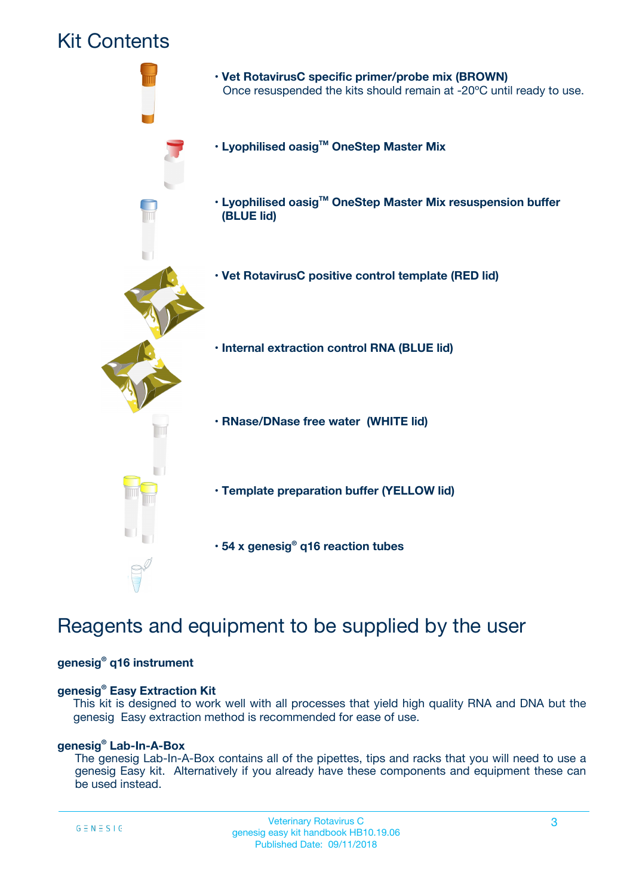### Kit Contents



### Reagents and equipment to be supplied by the user

#### **genesig® q16 instrument**

#### **genesig® Easy Extraction Kit**

This kit is designed to work well with all processes that yield high quality RNA and DNA but the genesig Easy extraction method is recommended for ease of use.

#### **genesig® Lab-In-A-Box**

The genesig Lab-In-A-Box contains all of the pipettes, tips and racks that you will need to use a genesig Easy kit. Alternatively if you already have these components and equipment these can be used instead.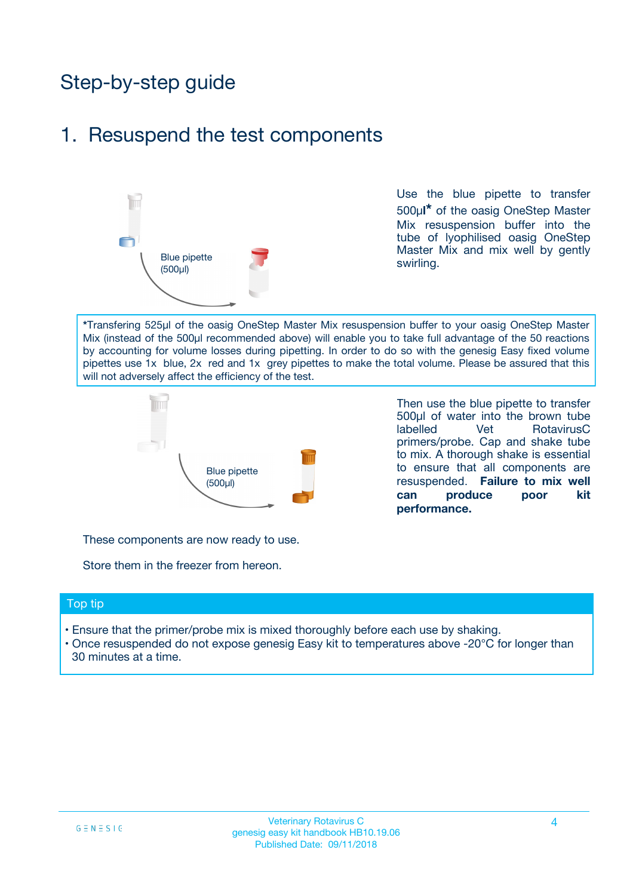## Step-by-step guide

### 1. Resuspend the test components



Use the blue pipette to transfer 500µ**l\*** of the oasig OneStep Master Mix resuspension buffer into the tube of lyophilised oasig OneStep Master Mix and mix well by gently swirling.

**\***Transfering 525µl of the oasig OneStep Master Mix resuspension buffer to your oasig OneStep Master Mix (instead of the 500µl recommended above) will enable you to take full advantage of the 50 reactions by accounting for volume losses during pipetting. In order to do so with the genesig Easy fixed volume pipettes use 1x blue, 2x red and 1x grey pipettes to make the total volume. Please be assured that this will not adversely affect the efficiency of the test.



Then use the blue pipette to transfer 500µl of water into the brown tube labelled Vet RotavirusC primers/probe. Cap and shake tube to mix. A thorough shake is essential to ensure that all components are resuspended. **Failure to mix well can produce poor kit performance.**

These components are now ready to use.

Store them in the freezer from hereon.

#### Top tip

- Ensure that the primer/probe mix is mixed thoroughly before each use by shaking.
- Once resuspended do not expose genesig Easy kit to temperatures above -20°C for longer than 30 minutes at a time.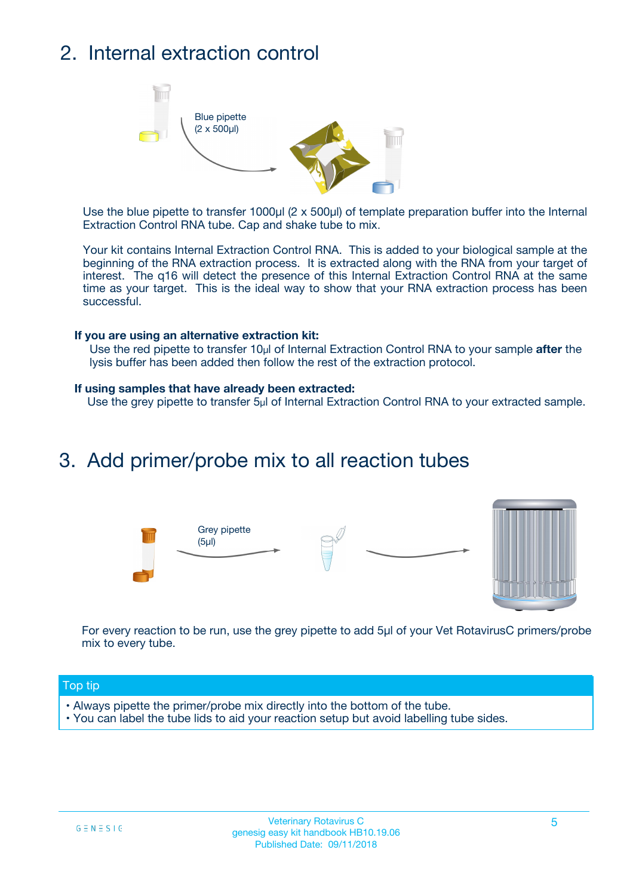## 2. Internal extraction control



Use the blue pipette to transfer 1000µl (2 x 500µl) of template preparation buffer into the Internal Extraction Control RNA tube. Cap and shake tube to mix.

Your kit contains Internal Extraction Control RNA. This is added to your biological sample at the beginning of the RNA extraction process. It is extracted along with the RNA from your target of interest. The q16 will detect the presence of this Internal Extraction Control RNA at the same time as your target. This is the ideal way to show that your RNA extraction process has been successful.

#### **If you are using an alternative extraction kit:**

Use the red pipette to transfer 10µl of Internal Extraction Control RNA to your sample **after** the lysis buffer has been added then follow the rest of the extraction protocol.

#### **If using samples that have already been extracted:**

Use the grey pipette to transfer 5µl of Internal Extraction Control RNA to your extracted sample.

### 3. Add primer/probe mix to all reaction tubes





For every reaction to be run, use the grey pipette to add 5µl of your Vet RotavirusC primers/probe mix to every tube.

#### Top tip

- Always pipette the primer/probe mix directly into the bottom of the tube.
- You can label the tube lids to aid your reaction setup but avoid labelling tube sides.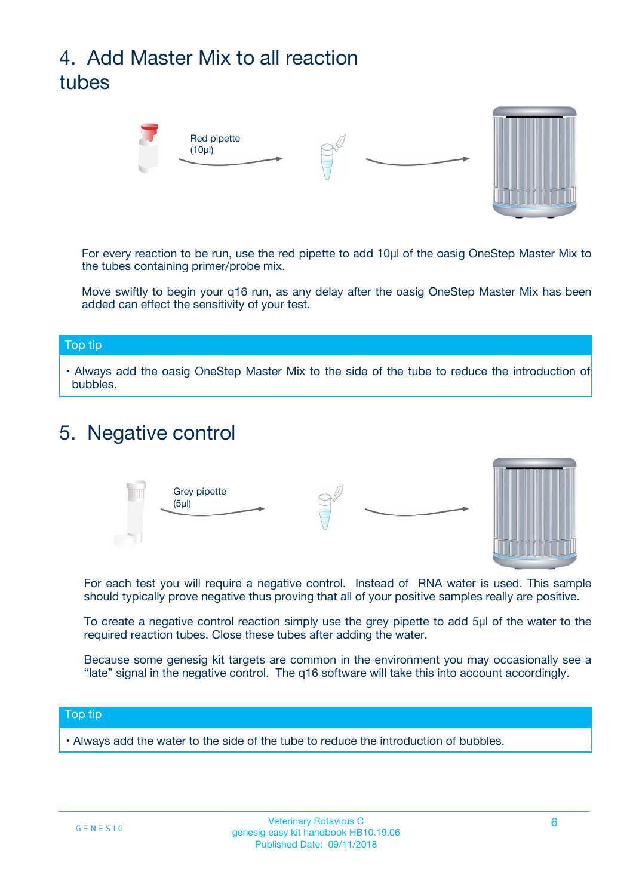## 4. Add Master Mix to all reaction tubes



For every reaction to be run, use the red pipette to add 10µl of the oasig OneStep Master Mix to the tubes containing primer/probe mix.

Move swiftly to begin your q16 run, as any delay after the oasig OneStep Master Mix has been added can effect the sensitivity of your test.

#### Top tip

**•** Always add the oasig OneStep Master Mix to the side of the tube to reduce the introduction of bubbles.

### 5. Negative control



For each test you will require a negative control. Instead of RNA water is used. This sample should typically prove negative thus proving that all of your positive samples really are positive.

To create a negative control reaction simply use the grey pipette to add 5µl of the water to the required reaction tubes. Close these tubes after adding the water.

Because some genesig kit targets are common in the environment you may occasionally see a "late" signal in the negative control. The q16 software will take this into account accordingly.

#### Top tip

**•** Always add the water to the side of the tube to reduce the introduction of bubbles.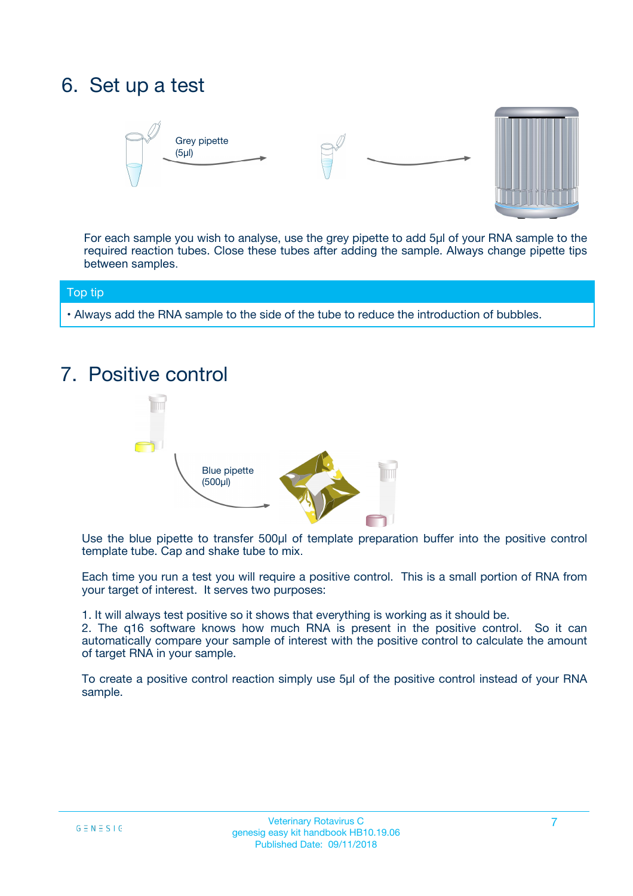## 6. Set up a test





For each sample you wish to analyse, use the grey pipette to add 5µl of your RNA sample to the required reaction tubes. Close these tubes after adding the sample. Always change pipette tips between samples.

#### Top tip

**•** Always add the RNA sample to the side of the tube to reduce the introduction of bubbles.

### 7. Positive control



Use the blue pipette to transfer 500µl of template preparation buffer into the positive control template tube. Cap and shake tube to mix.

Each time you run a test you will require a positive control. This is a small portion of RNA from your target of interest. It serves two purposes:

1. It will always test positive so it shows that everything is working as it should be.

2. The q16 software knows how much RNA is present in the positive control. So it can automatically compare your sample of interest with the positive control to calculate the amount of target RNA in your sample.

To create a positive control reaction simply use 5µl of the positive control instead of your RNA sample.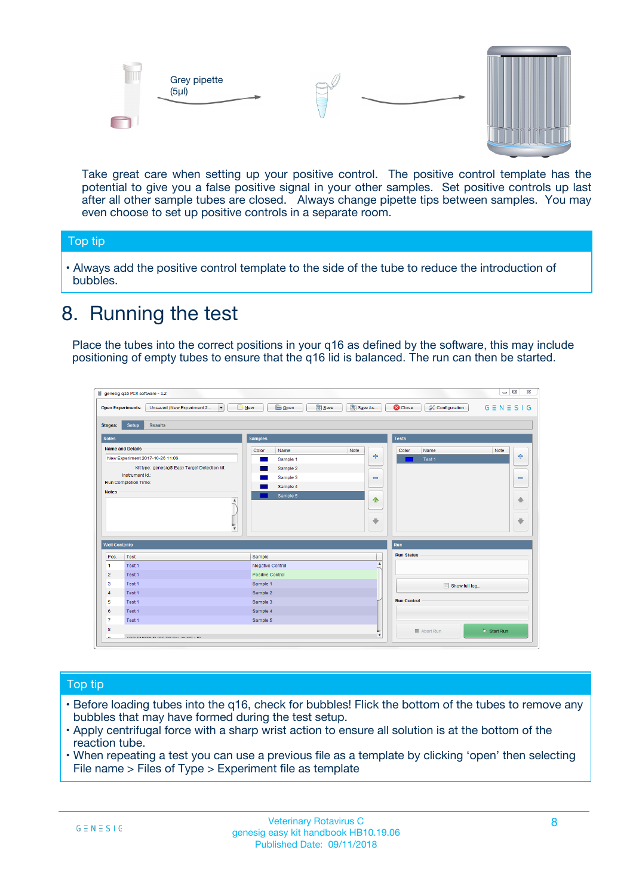



Take great care when setting up your positive control. The positive control template has the potential to give you a false positive signal in your other samples. Set positive controls up last after all other sample tubes are closed. Always change pipette tips between samples. You may even choose to set up positive controls in a separate room.

#### Top tip

**•** Always add the positive control template to the side of the tube to reduce the introduction of bubbles.

### 8. Running the test

Place the tubes into the correct positions in your q16 as defined by the software, this may include positioning of empty tubes to ensure that the q16 lid is balanced. The run can then be started.

|                      | genesig q16 PCR software - 1.2                                                          |                                  | $\Box$                                                                       |
|----------------------|-----------------------------------------------------------------------------------------|----------------------------------|------------------------------------------------------------------------------|
|                      | $N$ ew<br><b>Open Experiments:</b><br>Unsaved (New Experiment 2<br>$\blacktriangledown$ | <b>E</b> Open<br>Save<br>Save As | $G \equiv N \equiv S \mid G$<br><b>C</b> Close<br><b>&amp; Configuration</b> |
| <b>Stages:</b>       | Setup<br><b>Results</b>                                                                 |                                  |                                                                              |
| <b>Notes</b>         |                                                                                         | <b>Samples</b>                   | <b>Tests</b>                                                                 |
|                      | <b>Name and Details</b>                                                                 | Color<br>Note<br>Name            | Color<br>Note<br>Name                                                        |
|                      | New Experiment 2017-10-26 11:06                                                         | Sample 1                         | على<br>4<br>Test 1                                                           |
|                      | Kit type: genesig® Easy Target Detection kit                                            | Sample 2                         |                                                                              |
|                      | Instrument Id.:                                                                         | Sample 3                         | $\equiv$<br>$\equiv$                                                         |
|                      | <b>Run Completion Time:</b>                                                             | Sample 4                         |                                                                              |
| <b>Notes</b>         | $\blacktriangle$                                                                        | Sample 5                         | ♠<br>40                                                                      |
|                      | $\overline{\mathbf{v}}$                                                                 |                                  | ÷<br>⊕                                                                       |
| <b>Well Contents</b> |                                                                                         |                                  | Run                                                                          |
| Pos.                 | Test                                                                                    | Sample                           | <b>Run Status</b>                                                            |
| -1                   | Test 1                                                                                  | Negative Control                 | $\blacktriangle$                                                             |
| $\overline{2}$       | Test 1                                                                                  | Positive Control                 |                                                                              |
| 3                    | Test 1                                                                                  | Sample 1                         | Show full log                                                                |
| $\overline{4}$       | Test 1                                                                                  | Sample 2                         |                                                                              |
| 5                    | Test 1                                                                                  | Sample 3                         | <b>Run Control</b>                                                           |
| 6                    | Test 1                                                                                  | Sample 4                         |                                                                              |
| $\overline{7}$       | Test 1                                                                                  | Sample 5                         |                                                                              |
| 8                    |                                                                                         |                                  | $\triangleright$ Start Run<br>■ Abort Run                                    |
| ◡                    | <b><i>ADD FURTHER COLLANDELIA</i></b>                                                   |                                  | $\overline{\mathbf{v}}$                                                      |

#### Top tip

- Before loading tubes into the q16, check for bubbles! Flick the bottom of the tubes to remove any bubbles that may have formed during the test setup.
- Apply centrifugal force with a sharp wrist action to ensure all solution is at the bottom of the reaction tube.
- When repeating a test you can use a previous file as a template by clicking 'open' then selecting File name > Files of Type > Experiment file as template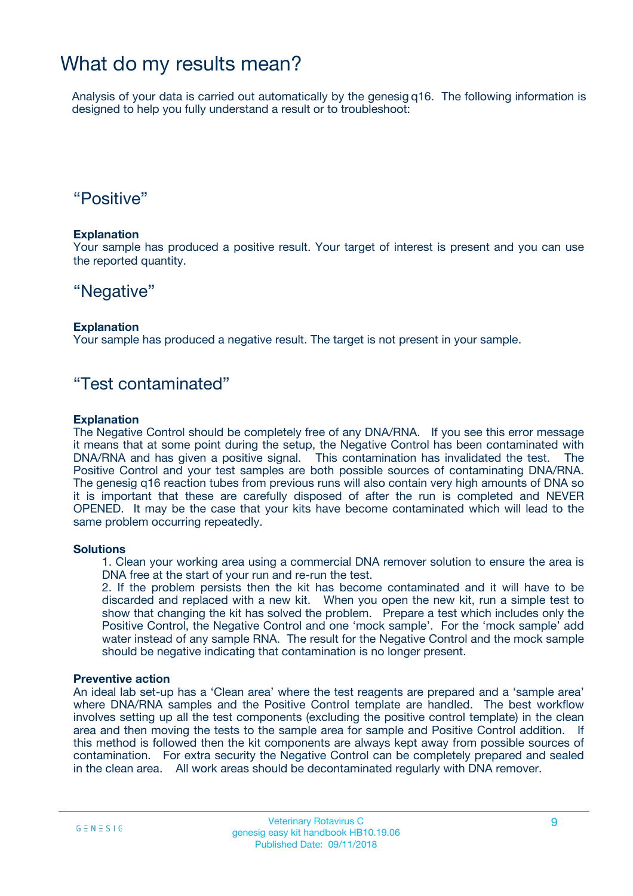### What do my results mean?

Analysis of your data is carried out automatically by the genesig q16. The following information is designed to help you fully understand a result or to troubleshoot:

### "Positive"

#### **Explanation**

Your sample has produced a positive result. Your target of interest is present and you can use the reported quantity.

### "Negative"

#### **Explanation**

Your sample has produced a negative result. The target is not present in your sample.

### "Test contaminated"

#### **Explanation**

The Negative Control should be completely free of any DNA/RNA. If you see this error message it means that at some point during the setup, the Negative Control has been contaminated with DNA/RNA and has given a positive signal. This contamination has invalidated the test. The Positive Control and your test samples are both possible sources of contaminating DNA/RNA. The genesig q16 reaction tubes from previous runs will also contain very high amounts of DNA so it is important that these are carefully disposed of after the run is completed and NEVER OPENED. It may be the case that your kits have become contaminated which will lead to the same problem occurring repeatedly.

#### **Solutions**

1. Clean your working area using a commercial DNA remover solution to ensure the area is DNA free at the start of your run and re-run the test.

2. If the problem persists then the kit has become contaminated and it will have to be discarded and replaced with a new kit. When you open the new kit, run a simple test to show that changing the kit has solved the problem. Prepare a test which includes only the Positive Control, the Negative Control and one 'mock sample'. For the 'mock sample' add water instead of any sample RNA. The result for the Negative Control and the mock sample should be negative indicating that contamination is no longer present.

#### **Preventive action**

An ideal lab set-up has a 'Clean area' where the test reagents are prepared and a 'sample area' where DNA/RNA samples and the Positive Control template are handled. The best workflow involves setting up all the test components (excluding the positive control template) in the clean area and then moving the tests to the sample area for sample and Positive Control addition. If this method is followed then the kit components are always kept away from possible sources of contamination. For extra security the Negative Control can be completely prepared and sealed in the clean area. All work areas should be decontaminated regularly with DNA remover.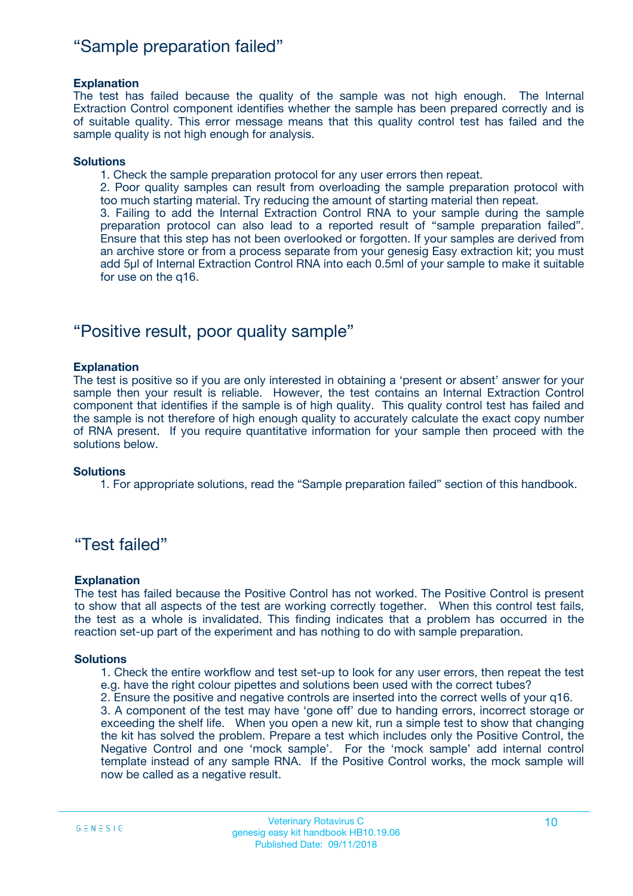### "Sample preparation failed"

#### **Explanation**

The test has failed because the quality of the sample was not high enough. The Internal Extraction Control component identifies whether the sample has been prepared correctly and is of suitable quality. This error message means that this quality control test has failed and the sample quality is not high enough for analysis.

#### **Solutions**

1. Check the sample preparation protocol for any user errors then repeat.

2. Poor quality samples can result from overloading the sample preparation protocol with too much starting material. Try reducing the amount of starting material then repeat.

3. Failing to add the Internal Extraction Control RNA to your sample during the sample preparation protocol can also lead to a reported result of "sample preparation failed". Ensure that this step has not been overlooked or forgotten. If your samples are derived from an archive store or from a process separate from your genesig Easy extraction kit; you must add 5µl of Internal Extraction Control RNA into each 0.5ml of your sample to make it suitable for use on the q16.

### "Positive result, poor quality sample"

#### **Explanation**

The test is positive so if you are only interested in obtaining a 'present or absent' answer for your sample then your result is reliable. However, the test contains an Internal Extraction Control component that identifies if the sample is of high quality. This quality control test has failed and the sample is not therefore of high enough quality to accurately calculate the exact copy number of RNA present. If you require quantitative information for your sample then proceed with the solutions below.

#### **Solutions**

1. For appropriate solutions, read the "Sample preparation failed" section of this handbook.

### "Test failed"

#### **Explanation**

The test has failed because the Positive Control has not worked. The Positive Control is present to show that all aspects of the test are working correctly together. When this control test fails, the test as a whole is invalidated. This finding indicates that a problem has occurred in the reaction set-up part of the experiment and has nothing to do with sample preparation.

#### **Solutions**

- 1. Check the entire workflow and test set-up to look for any user errors, then repeat the test e.g. have the right colour pipettes and solutions been used with the correct tubes?
- 2. Ensure the positive and negative controls are inserted into the correct wells of your q16.

3. A component of the test may have 'gone off' due to handing errors, incorrect storage or exceeding the shelf life. When you open a new kit, run a simple test to show that changing the kit has solved the problem. Prepare a test which includes only the Positive Control, the Negative Control and one 'mock sample'. For the 'mock sample' add internal control template instead of any sample RNA. If the Positive Control works, the mock sample will now be called as a negative result.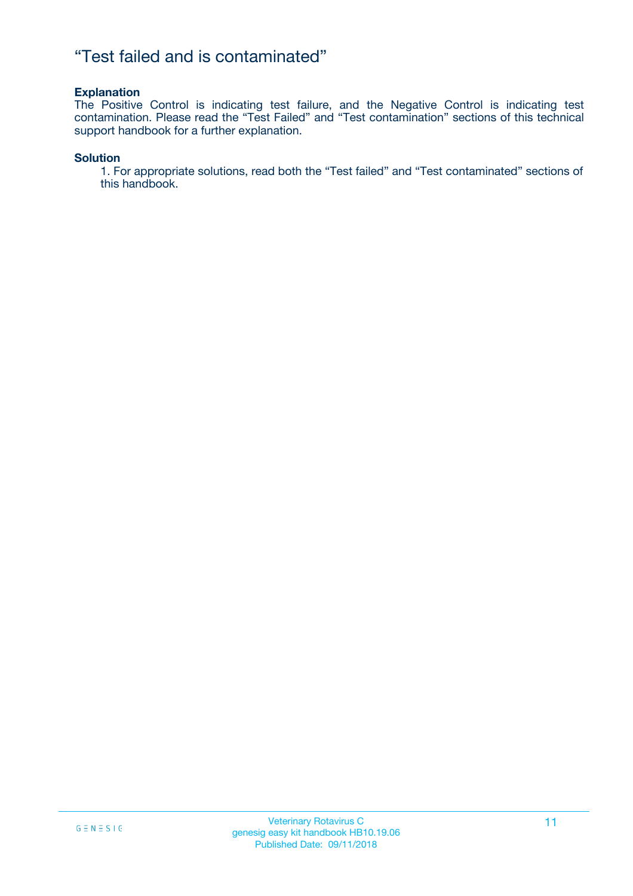### "Test failed and is contaminated"

#### **Explanation**

The Positive Control is indicating test failure, and the Negative Control is indicating test contamination. Please read the "Test Failed" and "Test contamination" sections of this technical support handbook for a further explanation.

#### **Solution**

1. For appropriate solutions, read both the "Test failed" and "Test contaminated" sections of this handbook.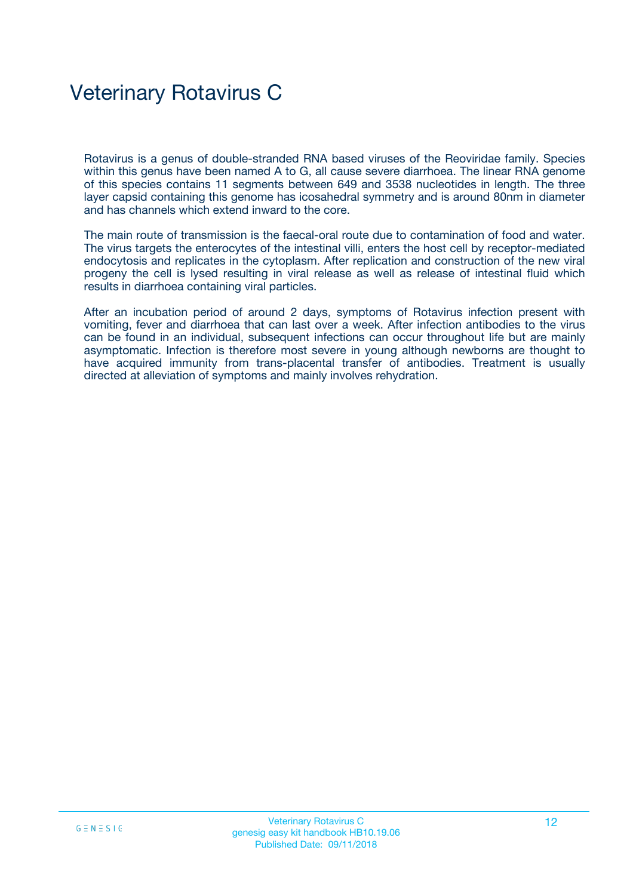## Veterinary Rotavirus C

Rotavirus is a genus of double-stranded RNA based viruses of the Reoviridae family. Species within this genus have been named A to G, all cause severe diarrhoea. The linear RNA genome of this species contains 11 segments between 649 and 3538 nucleotides in length. The three layer capsid containing this genome has icosahedral symmetry and is around 80nm in diameter and has channels which extend inward to the core.

The main route of transmission is the faecal-oral route due to contamination of food and water. The virus targets the enterocytes of the intestinal villi, enters the host cell by receptor-mediated endocytosis and replicates in the cytoplasm. After replication and construction of the new viral progeny the cell is lysed resulting in viral release as well as release of intestinal fluid which results in diarrhoea containing viral particles.

After an incubation period of around 2 days, symptoms of Rotavirus infection present with vomiting, fever and diarrhoea that can last over a week. After infection antibodies to the virus can be found in an individual, subsequent infections can occur throughout life but are mainly asymptomatic. Infection is therefore most severe in young although newborns are thought to have acquired immunity from trans-placental transfer of antibodies. Treatment is usually directed at alleviation of symptoms and mainly involves rehydration.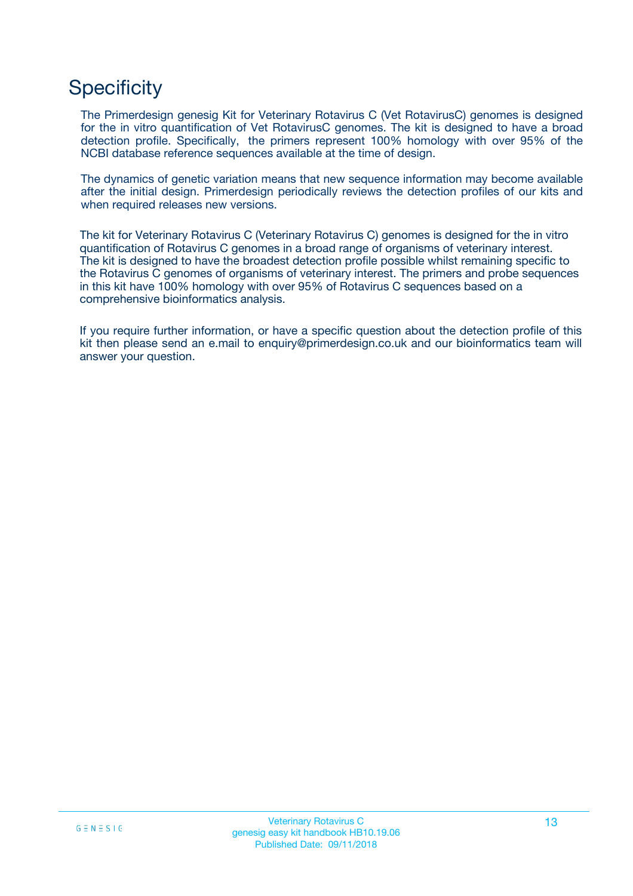## **Specificity**

The Primerdesign genesig Kit for Veterinary Rotavirus C (Vet RotavirusC) genomes is designed for the in vitro quantification of Vet RotavirusC genomes. The kit is designed to have a broad detection profile. Specifically, the primers represent 100% homology with over 95% of the NCBI database reference sequences available at the time of design.

The dynamics of genetic variation means that new sequence information may become available after the initial design. Primerdesign periodically reviews the detection profiles of our kits and when required releases new versions.

The kit for Veterinary Rotavirus C (Veterinary Rotavirus C) genomes is designed for the in vitro quantification of Rotavirus C genomes in a broad range of organisms of veterinary interest. The kit is designed to have the broadest detection profile possible whilst remaining specific to the Rotavirus C genomes of organisms of veterinary interest. The primers and probe sequences in this kit have 100% homology with over 95% of Rotavirus C sequences based on a comprehensive bioinformatics analysis.

If you require further information, or have a specific question about the detection profile of this kit then please send an e.mail to enquiry@primerdesign.co.uk and our bioinformatics team will answer your question.